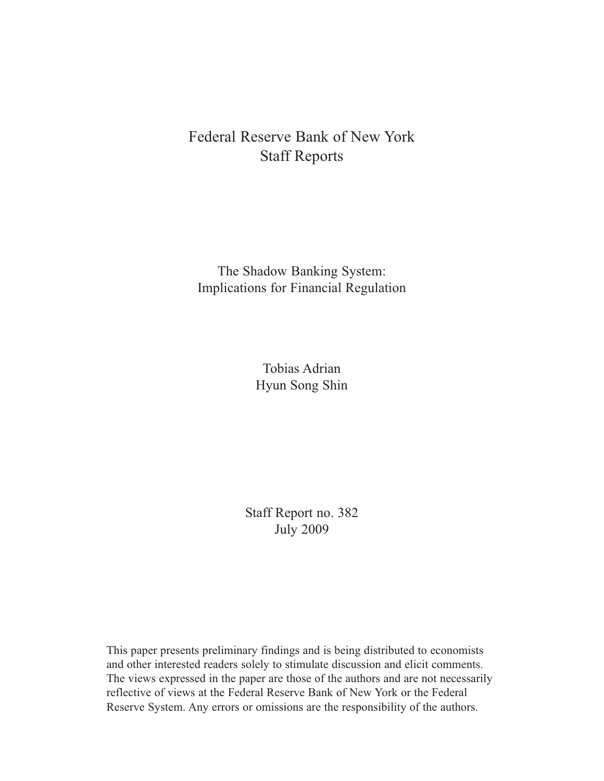# Federal Reserve Bank of New York Staff Reports

The Shadow Banking System: Implications for Financial Regulation

> Tobias Adrian Hyun Song Shin

Staff Report no. 382 July 2009

This paper presents preliminary findings and is being distributed to economists and other interested readers solely to stimulate discussion and elicit comments. The views expressed in the paper are those of the authors and are not necessarily reflective of views at the Federal Reserve Bank of New York or the Federal Reserve System. Any errors or omissions are the responsibility of the authors.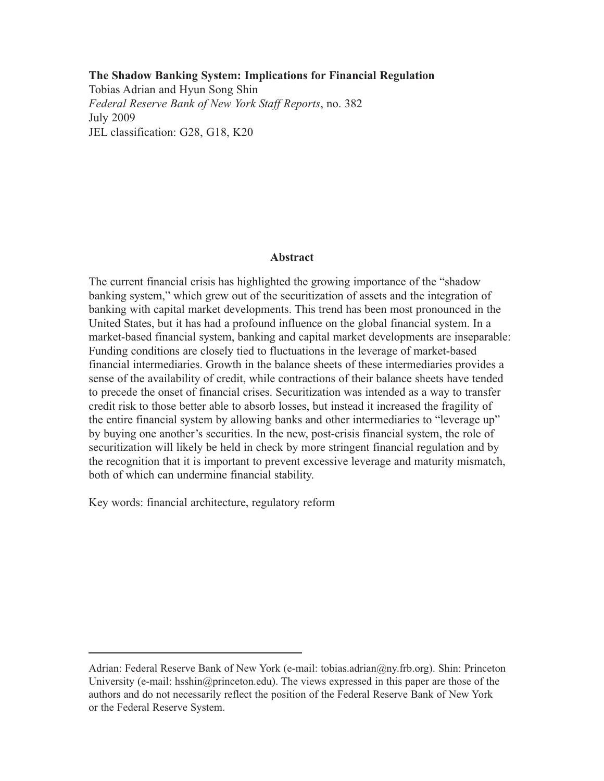#### **The Shadow Banking System: Implications for Financial Regulation**

Tobias Adrian and Hyun Song Shin *Federal Reserve Bank of New York Staff Reports*, no. 382 July 2009 JEL classification: G28, G18, K20

#### **Abstract**

The current financial crisis has highlighted the growing importance of the "shadow banking system," which grew out of the securitization of assets and the integration of banking with capital market developments. This trend has been most pronounced in the United States, but it has had a profound influence on the global financial system. In a market-based financial system, banking and capital market developments are inseparable: Funding conditions are closely tied to fluctuations in the leverage of market-based financial intermediaries. Growth in the balance sheets of these intermediaries provides a sense of the availability of credit, while contractions of their balance sheets have tended to precede the onset of financial crises. Securitization was intended as a way to transfer credit risk to those better able to absorb losses, but instead it increased the fragility of the entire financial system by allowing banks and other intermediaries to "leverage up" by buying one another's securities. In the new, post-crisis financial system, the role of securitization will likely be held in check by more stringent financial regulation and by the recognition that it is important to prevent excessive leverage and maturity mismatch, both of which can undermine financial stability.

Key words: financial architecture, regulatory reform

Adrian: Federal Reserve Bank of New York (e-mail: tobias.adrian@ny.frb.org). Shin: Princeton University (e-mail: hsshin@princeton.edu). The views expressed in this paper are those of the authors and do not necessarily reflect the position of the Federal Reserve Bank of New York or the Federal Reserve System.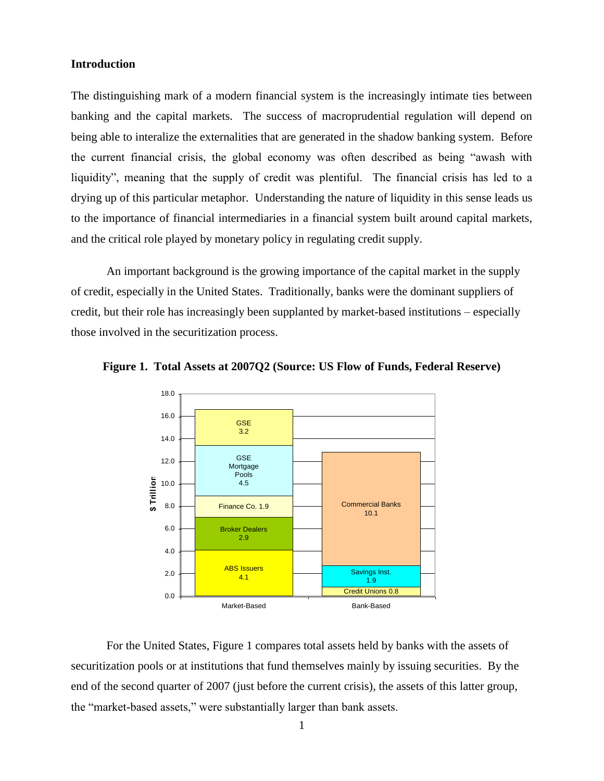#### **Introduction**

The distinguishing mark of a modern financial system is the increasingly intimate ties between banking and the capital markets. The success of macroprudential regulation will depend on being able to interalize the externalities that are generated in the shadow banking system. Before the current financial crisis, the global economy was often described as being "awash with liquidity", meaning that the supply of credit was plentiful. The financial crisis has led to a drying up of this particular metaphor. Understanding the nature of liquidity in this sense leads us to the importance of financial intermediaries in a financial system built around capital markets, and the critical role played by monetary policy in regulating credit supply.

An important background is the growing importance of the capital market in the supply of credit, especially in the United States. Traditionally, banks were the dominant suppliers of credit, but their role has increasingly been supplanted by market-based institutions – especially those involved in the securitization process.



**Figure 1. Total Assets at 2007Q2 (Source: US Flow of Funds, Federal Reserve)**

For the United States, Figure 1 compares total assets held by banks with the assets of securitization pools or at institutions that fund themselves mainly by issuing securities. By the end of the second quarter of 2007 (just before the current crisis), the assets of this latter group, the "market-based assets," were substantially larger than bank assets.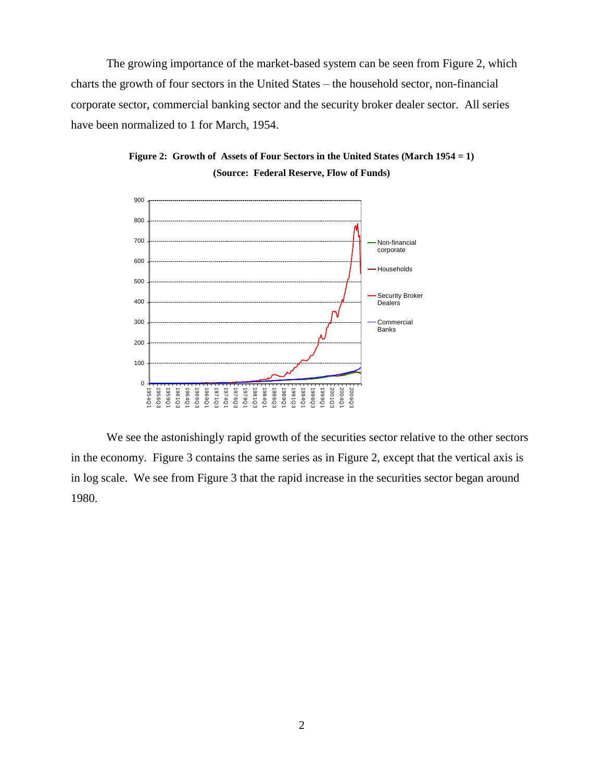The growing importance of the market-based system can be seen from Figure 2, which charts the growth of four sectors in the United States – the household sector, non-financial corporate sector, commercial banking sector and the security broker dealer sector. All series have been normalized to 1 for March, 1954.



**Figure 2: Growth of Assets of Four Sectors in the United States (March 1954 = 1) (Source: Federal Reserve, Flow of Funds)**

We see the astonishingly rapid growth of the securities sector relative to the other sectors in the economy. Figure 3 contains the same series as in Figure 2, except that the vertical axis is in log scale. We see from Figure 3 that the rapid increase in the securities sector began around 1980.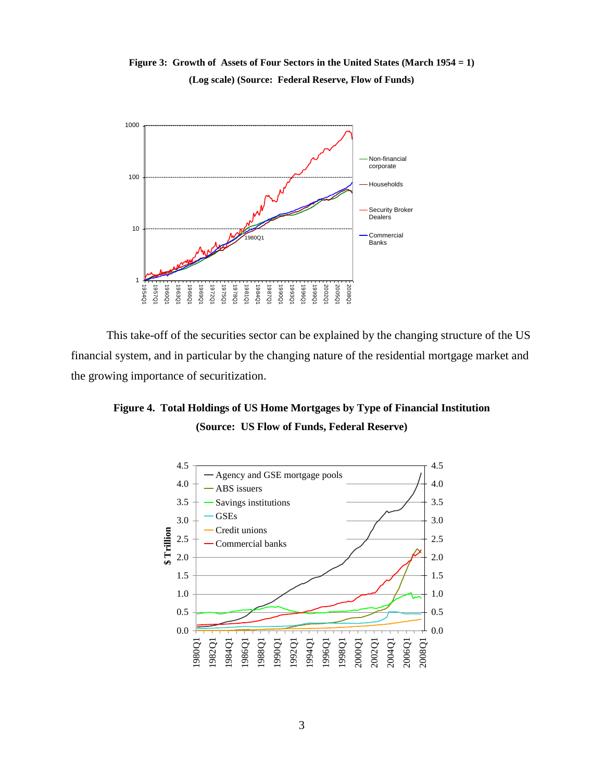

**Figure 3: Growth of Assets of Four Sectors in the United States (March 1954 = 1) (Log scale) (Source: Federal Reserve, Flow of Funds)**

This take-off of the securities sector can be explained by the changing structure of the US financial system, and in particular by the changing nature of the residential mortgage market and the growing importance of securitization.

**Figure 4. Total Holdings of US Home Mortgages by Type of Financial Institution (Source: US Flow of Funds, Federal Reserve)**

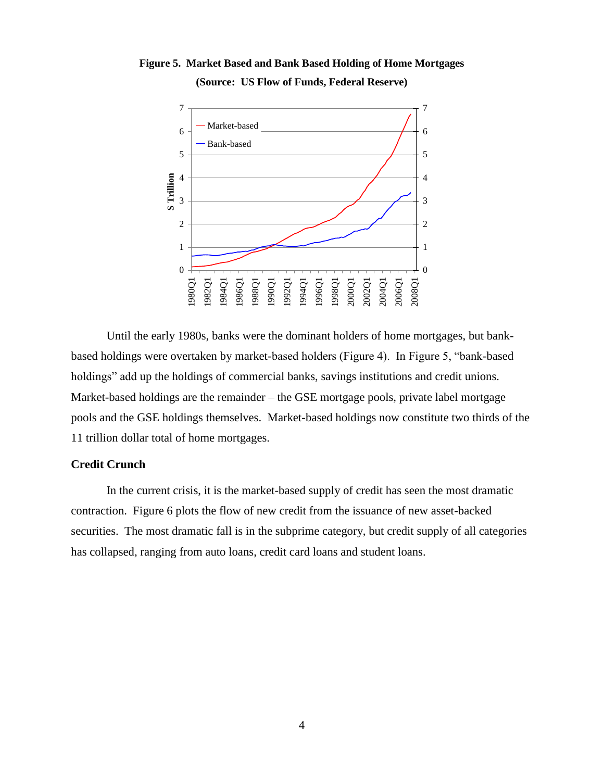

**Figure 5. Market Based and Bank Based Holding of Home Mortgages (Source: US Flow of Funds, Federal Reserve)**

Until the early 1980s, banks were the dominant holders of home mortgages, but bankbased holdings were overtaken by market-based holders (Figure 4). In Figure 5, "bank-based holdings" add up the holdings of commercial banks, savings institutions and credit unions. Market-based holdings are the remainder – the GSE mortgage pools, private label mortgage pools and the GSE holdings themselves. Market-based holdings now constitute two thirds of the 11 trillion dollar total of home mortgages.

#### **Credit Crunch**

In the current crisis, it is the market-based supply of credit has seen the most dramatic contraction. Figure 6 plots the flow of new credit from the issuance of new asset-backed securities. The most dramatic fall is in the subprime category, but credit supply of all categories has collapsed, ranging from auto loans, credit card loans and student loans.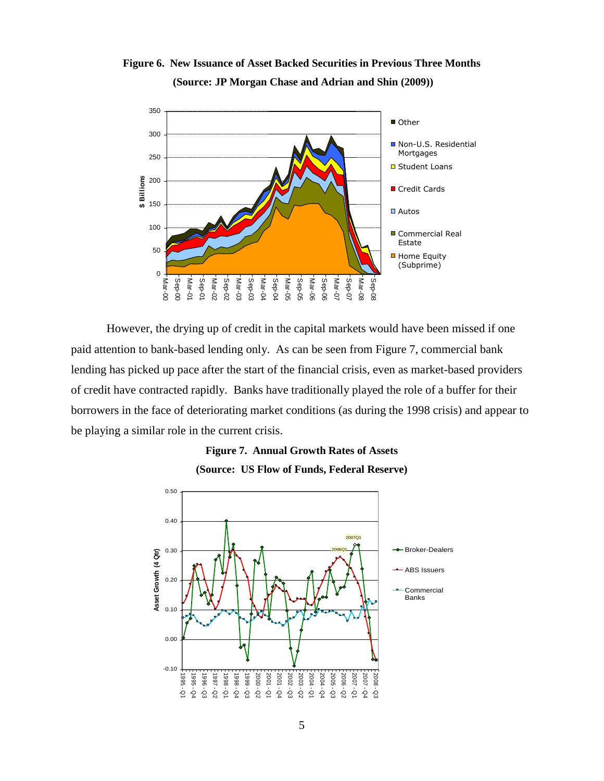

**Figure 6. New Issuance of Asset Backed Securities in Previous Three Months (Source: JP Morgan Chase and Adrian and Shin (2009))**

However, the drying up of credit in the capital markets would have been missed if one paid attention to bank-based lending only. As can be seen from Figure 7, commercial bank lending has picked up pace after the start of the financial crisis, even as market-based providers of credit have contracted rapidly. Banks have traditionally played the role of a buffer for their borrowers in the face of deteriorating market conditions (as during the 1998 crisis) and appear to be playing a similar role in the current crisis.



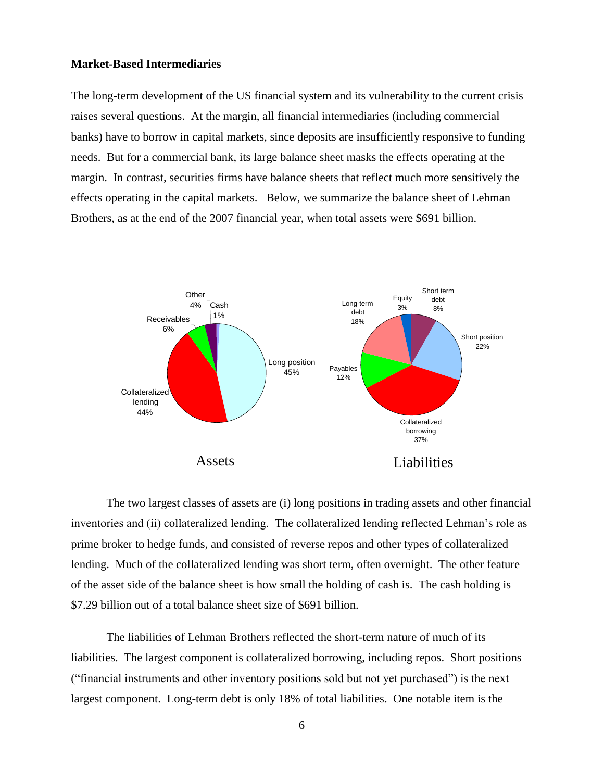#### **Market-Based Intermediaries**

The long-term development of the US financial system and its vulnerability to the current crisis raises several questions. At the margin, all financial intermediaries (including commercial banks) have to borrow in capital markets, since deposits are insufficiently responsive to funding needs. But for a commercial bank, its large balance sheet masks the effects operating at the margin. In contrast, securities firms have balance sheets that reflect much more sensitively the effects operating in the capital markets. Below, we summarize the balance sheet of Lehman Brothers, as at the end of the 2007 financial year, when total assets were \$691 billion.



The two largest classes of assets are (i) long positions in trading assets and other financial inventories and (ii) collateralized lending. The collateralized lending reflected Lehman's role as prime broker to hedge funds, and consisted of reverse repos and other types of collateralized lending. Much of the collateralized lending was short term, often overnight. The other feature of the asset side of the balance sheet is how small the holding of cash is. The cash holding is \$7.29 billion out of a total balance sheet size of \$691 billion.

The liabilities of Lehman Brothers reflected the short-term nature of much of its liabilities. The largest component is collateralized borrowing, including repos. Short positions (―financial instruments and other inventory positions sold but not yet purchased‖) is the next largest component. Long-term debt is only 18% of total liabilities. One notable item is the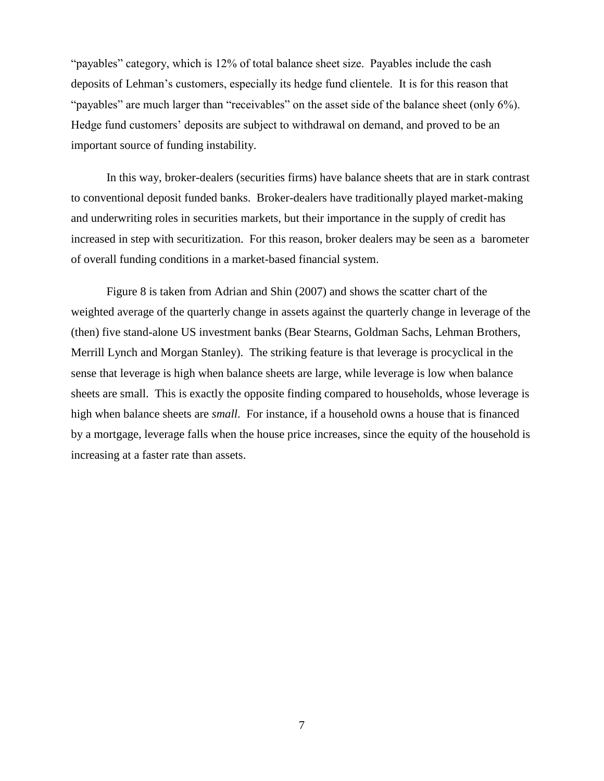"payables" category, which is 12% of total balance sheet size. Payables include the cash deposits of Lehman's customers, especially its hedge fund clientele. It is for this reason that "payables" are much larger than "receivables" on the asset side of the balance sheet (only 6%). Hedge fund customers' deposits are subject to withdrawal on demand, and proved to be an important source of funding instability.

In this way, broker-dealers (securities firms) have balance sheets that are in stark contrast to conventional deposit funded banks. Broker-dealers have traditionally played market-making and underwriting roles in securities markets, but their importance in the supply of credit has increased in step with securitization. For this reason, broker dealers may be seen as a barometer of overall funding conditions in a market-based financial system.

Figure 8 is taken from Adrian and Shin (2007) and shows the scatter chart of the weighted average of the quarterly change in assets against the quarterly change in leverage of the (then) five stand-alone US investment banks (Bear Stearns, Goldman Sachs, Lehman Brothers, Merrill Lynch and Morgan Stanley). The striking feature is that leverage is procyclical in the sense that leverage is high when balance sheets are large, while leverage is low when balance sheets are small. This is exactly the opposite finding compared to households, whose leverage is high when balance sheets are *small*. For instance, if a household owns a house that is financed by a mortgage, leverage falls when the house price increases, since the equity of the household is increasing at a faster rate than assets.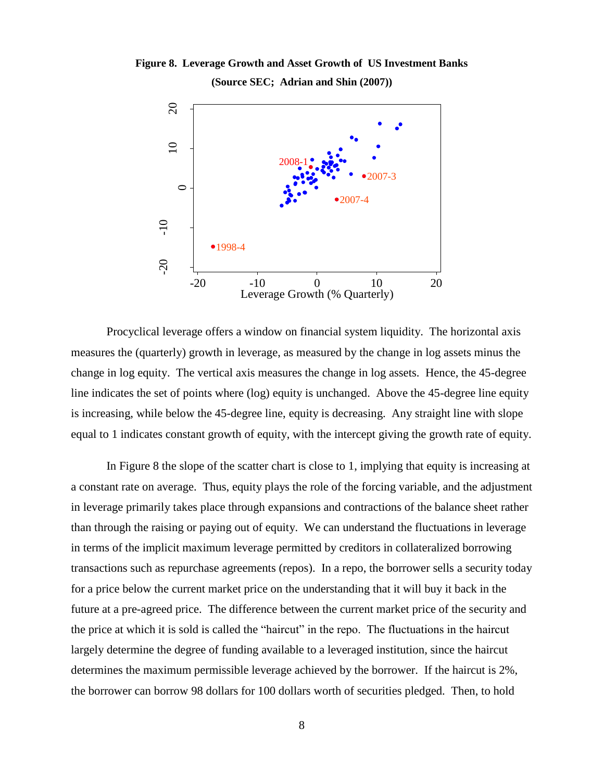**Figure 8. Leverage Growth and Asset Growth of US Investment Banks (Source SEC; Adrian and Shin (2007))**



Procyclical leverage offers a window on financial system liquidity. The horizontal axis measures the (quarterly) growth in leverage, as measured by the change in log assets minus the change in log equity. The vertical axis measures the change in log assets. Hence, the 45-degree line indicates the set of points where (log) equity is unchanged. Above the 45-degree line equity is increasing, while below the 45-degree line, equity is decreasing. Any straight line with slope equal to 1 indicates constant growth of equity, with the intercept giving the growth rate of equity.

In Figure 8 the slope of the scatter chart is close to 1, implying that equity is increasing at a constant rate on average. Thus, equity plays the role of the forcing variable, and the adjustment in leverage primarily takes place through expansions and contractions of the balance sheet rather than through the raising or paying out of equity. We can understand the fluctuations in leverage in terms of the implicit maximum leverage permitted by creditors in collateralized borrowing transactions such as repurchase agreements (repos). In a repo, the borrower sells a security today for a price below the current market price on the understanding that it will buy it back in the future at a pre-agreed price. The difference between the current market price of the security and the price at which it is sold is called the "haircut" in the repo. The fluctuations in the haircut largely determine the degree of funding available to a leveraged institution, since the haircut determines the maximum permissible leverage achieved by the borrower. If the haircut is 2%, the borrower can borrow 98 dollars for 100 dollars worth of securities pledged. Then, to hold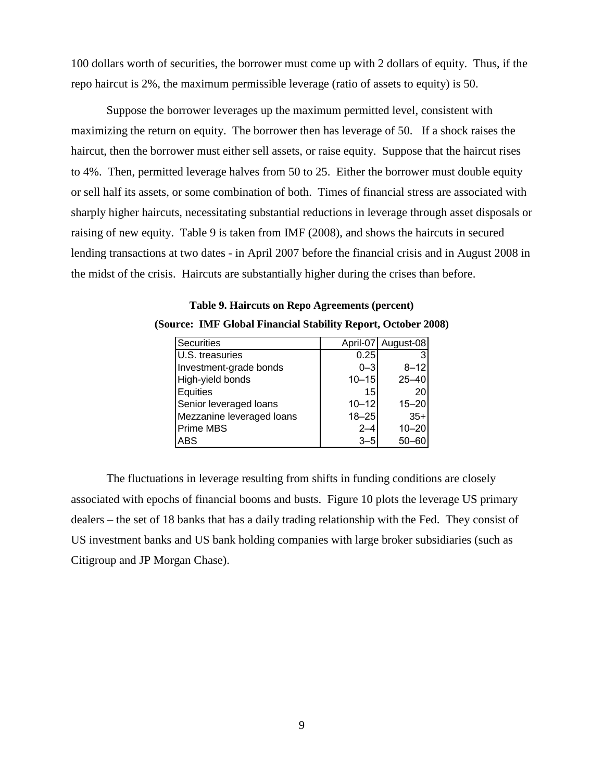100 dollars worth of securities, the borrower must come up with 2 dollars of equity. Thus, if the repo haircut is 2%, the maximum permissible leverage (ratio of assets to equity) is 50.

Suppose the borrower leverages up the maximum permitted level, consistent with maximizing the return on equity. The borrower then has leverage of 50. If a shock raises the haircut, then the borrower must either sell assets, or raise equity. Suppose that the haircut rises to 4%. Then, permitted leverage halves from 50 to 25. Either the borrower must double equity or sell half its assets, or some combination of both. Times of financial stress are associated with sharply higher haircuts, necessitating substantial reductions in leverage through asset disposals or raising of new equity. Table 9 is taken from IMF (2008), and shows the haircuts in secured lending transactions at two dates - in April 2007 before the financial crisis and in August 2008 in the midst of the crisis. Haircuts are substantially higher during the crises than before.

**Table 9. Haircuts on Repo Agreements (percent) (Source: IMF Global Financial Stability Report, October 2008)**

| <b>Securities</b>         |           | April-07 August-08 |
|---------------------------|-----------|--------------------|
| U.S. treasuries           | 0.25      |                    |
| Investment-grade bonds    | $0 - 3$   | $8 - 12$           |
| High-yield bonds          | $10 - 15$ | $25 - 40$          |
| Equities                  | 15        | 20                 |
| Senior leveraged loans    | $10 - 12$ | $15 - 20$          |
| Mezzanine leveraged loans | $18 - 25$ | $35+$              |
| <b>Prime MBS</b>          | $2 - 4$   | $10 - 20$          |
| <b>ABS</b>                | $3 - 5$   | 50–60              |

The fluctuations in leverage resulting from shifts in funding conditions are closely associated with epochs of financial booms and busts. Figure 10 plots the leverage US primary dealers – the set of 18 banks that has a daily trading relationship with the Fed. They consist of US investment banks and US bank holding companies with large broker subsidiaries (such as Citigroup and JP Morgan Chase).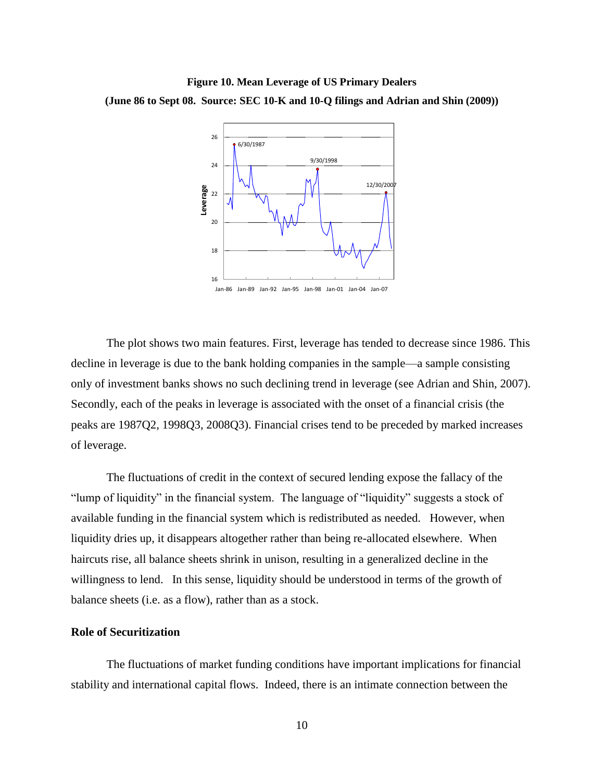# **Figure 10. Mean Leverage of US Primary Dealers (June 86 to Sept 08. Source: SEC 10-K and 10-Q filings and Adrian and Shin (2009))**



The plot shows two main features. First, leverage has tended to decrease since 1986. This decline in leverage is due to the bank holding companies in the sample—a sample consisting only of investment banks shows no such declining trend in leverage (see Adrian and Shin, 2007). Secondly, each of the peaks in leverage is associated with the onset of a financial crisis (the peaks are 1987Q2, 1998Q3, 2008Q3). Financial crises tend to be preceded by marked increases of leverage.

The fluctuations of credit in the context of secured lending expose the fallacy of the "lump of liquidity" in the financial system. The language of "liquidity" suggests a stock of available funding in the financial system which is redistributed as needed. However, when liquidity dries up, it disappears altogether rather than being re-allocated elsewhere. When haircuts rise, all balance sheets shrink in unison, resulting in a generalized decline in the willingness to lend. In this sense, liquidity should be understood in terms of the growth of balance sheets (i.e. as a flow), rather than as a stock.

#### **Role of Securitization**

The fluctuations of market funding conditions have important implications for financial stability and international capital flows. Indeed, there is an intimate connection between the

10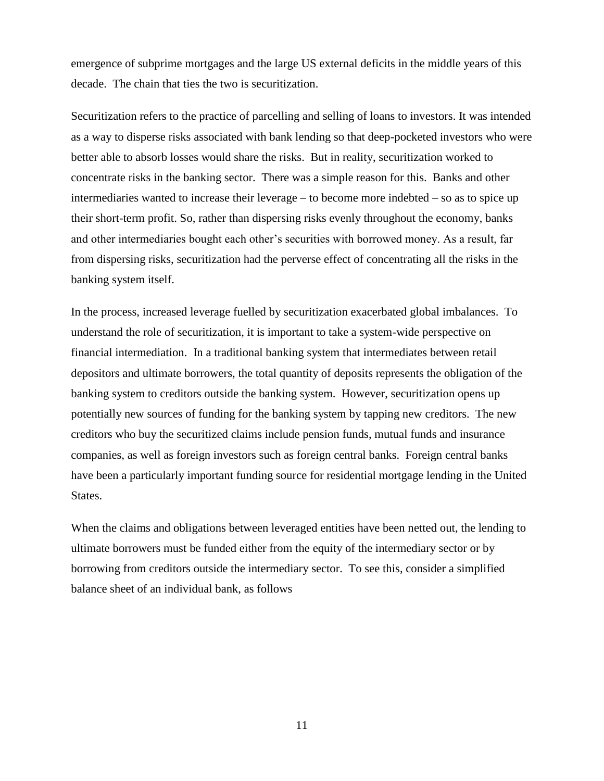emergence of subprime mortgages and the large US external deficits in the middle years of this decade. The chain that ties the two is securitization.

Securitization refers to the practice of parcelling and selling of loans to investors. It was intended as a way to disperse risks associated with bank lending so that deep-pocketed investors who were better able to absorb losses would share the risks. But in reality, securitization worked to concentrate risks in the banking sector. There was a simple reason for this. Banks and other intermediaries wanted to increase their leverage – to become more indebted – so as to spice up their short-term profit. So, rather than dispersing risks evenly throughout the economy, banks and other intermediaries bought each other's securities with borrowed money. As a result, far from dispersing risks, securitization had the perverse effect of concentrating all the risks in the banking system itself.

In the process, increased leverage fuelled by securitization exacerbated global imbalances. To understand the role of securitization, it is important to take a system-wide perspective on financial intermediation. In a traditional banking system that intermediates between retail depositors and ultimate borrowers, the total quantity of deposits represents the obligation of the banking system to creditors outside the banking system. However, securitization opens up potentially new sources of funding for the banking system by tapping new creditors. The new creditors who buy the securitized claims include pension funds, mutual funds and insurance companies, as well as foreign investors such as foreign central banks. Foreign central banks have been a particularly important funding source for residential mortgage lending in the United States.

When the claims and obligations between leveraged entities have been netted out, the lending to ultimate borrowers must be funded either from the equity of the intermediary sector or by borrowing from creditors outside the intermediary sector. To see this, consider a simplified balance sheet of an individual bank, as follows

11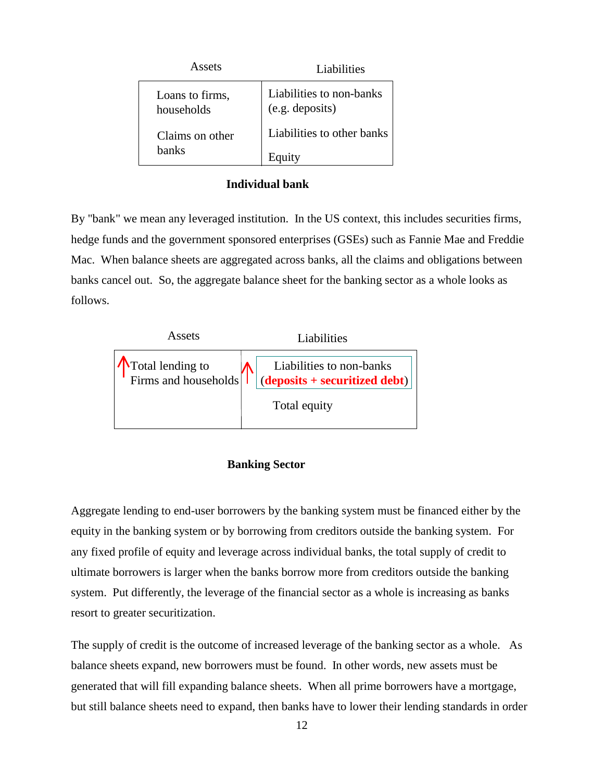| Assets                        | <b>Liabilities</b>                          |  |
|-------------------------------|---------------------------------------------|--|
| Loans to firms,<br>households | Liabilities to non-banks<br>(e.g. deposits) |  |
| Claims on other               | Liabilities to other banks                  |  |
| hanks                         | Equity                                      |  |

#### **Individual bank**

By "bank" we mean any leveraged institution. In the US context, this includes securities firms, hedge funds and the government sponsored enterprises (GSEs) such as Fannie Mae and Freddie Mac. When balance sheets are aggregated across banks, all the claims and obligations between banks cancel out. So, the aggregate balance sheet for the banking sector as a whole looks as follows.



#### **Banking Sector**

Aggregate lending to end-user borrowers by the banking system must be financed either by the equity in the banking system or by borrowing from creditors outside the banking system. For any fixed profile of equity and leverage across individual banks, the total supply of credit to ultimate borrowers is larger when the banks borrow more from creditors outside the banking system. Put differently, the leverage of the financial sector as a whole is increasing as banks resort to greater securitization.

The supply of credit is the outcome of increased leverage of the banking sector as a whole. As balance sheets expand, new borrowers must be found. In other words, new assets must be generated that will fill expanding balance sheets. When all prime borrowers have a mortgage, but still balance sheets need to expand, then banks have to lower their lending standards in order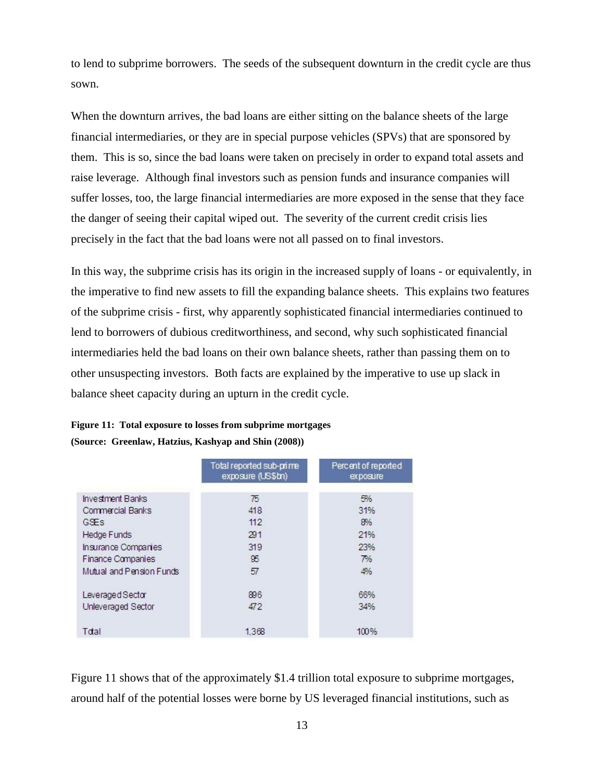to lend to subprime borrowers. The seeds of the subsequent downturn in the credit cycle are thus sown.

When the downturn arrives, the bad loans are either sitting on the balance sheets of the large financial intermediaries, or they are in special purpose vehicles (SPVs) that are sponsored by them. This is so, since the bad loans were taken on precisely in order to expand total assets and raise leverage. Although final investors such as pension funds and insurance companies will suffer losses, too, the large financial intermediaries are more exposed in the sense that they face the danger of seeing their capital wiped out. The severity of the current credit crisis lies precisely in the fact that the bad loans were not all passed on to final investors.

In this way, the subprime crisis has its origin in the increased supply of loans - or equivalently, in the imperative to find new assets to fill the expanding balance sheets. This explains two features of the subprime crisis - first, why apparently sophisticated financial intermediaries continued to lend to borrowers of dubious creditworthiness, and second, why such sophisticated financial intermediaries held the bad loans on their own balance sheets, rather than passing them on to other unsuspecting investors. Both facts are explained by the imperative to use up slack in balance sheet capacity during an upturn in the credit cycle.

|                          | Total reported sub-prime<br>exposure (US\$bn) | Percent of reported<br>exposure |
|--------------------------|-----------------------------------------------|---------------------------------|
| <b>Investment Banks</b>  | 75                                            | 5%                              |
| Commercial Banks         | 418                                           | 31%                             |
| GSEs                     | 112                                           | 8%                              |
| Hedge Funds              | 291                                           | 21%                             |
| Insurance Companies      | 319                                           | 23%                             |
| Finance Companies        | 95                                            | 7%                              |
| Mutual and Pension Funds | 57                                            | 4%                              |
| Leveraged Sector         | 896                                           | 66%                             |
| Unleveraged Sector       | 472                                           | 34%                             |
| Total                    | 1.368                                         | 100%                            |

## **Figure 11: Total exposure to losses from subprime mortgages (Source: Greenlaw, Hatzius, Kashyap and Shin (2008))**

Figure 11 shows that of the approximately \$1.4 trillion total exposure to subprime mortgages, around half of the potential losses were borne by US leveraged financial institutions, such as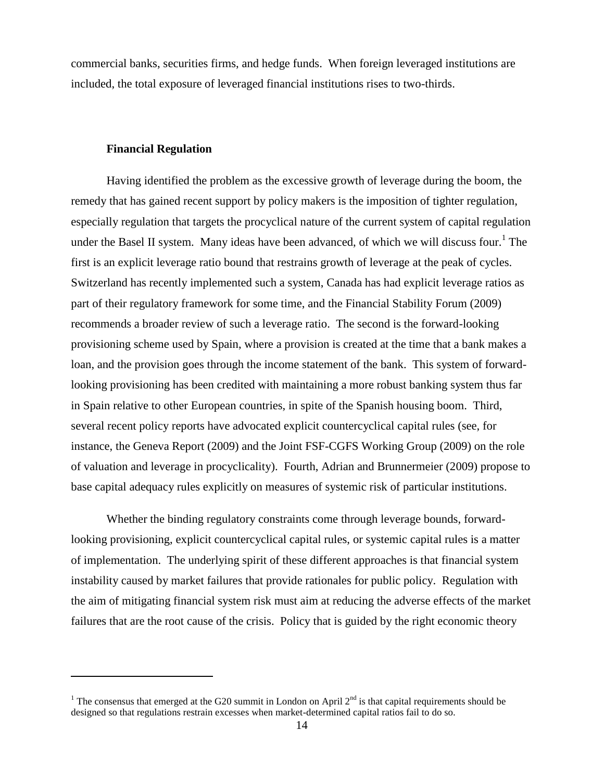commercial banks, securities firms, and hedge funds. When foreign leveraged institutions are included, the total exposure of leveraged financial institutions rises to two-thirds.

#### **Financial Regulation**

 $\overline{a}$ 

Having identified the problem as the excessive growth of leverage during the boom, the remedy that has gained recent support by policy makers is the imposition of tighter regulation, especially regulation that targets the procyclical nature of the current system of capital regulation under the Basel II system. Many ideas have been advanced, of which we will discuss four.<sup>1</sup> The first is an explicit leverage ratio bound that restrains growth of leverage at the peak of cycles. Switzerland has recently implemented such a system, Canada has had explicit leverage ratios as part of their regulatory framework for some time, and the Financial Stability Forum (2009) recommends a broader review of such a leverage ratio. The second is the forward-looking provisioning scheme used by Spain, where a provision is created at the time that a bank makes a loan, and the provision goes through the income statement of the bank. This system of forwardlooking provisioning has been credited with maintaining a more robust banking system thus far in Spain relative to other European countries, in spite of the Spanish housing boom. Third, several recent policy reports have advocated explicit countercyclical capital rules (see, for instance, the Geneva Report (2009) and the Joint FSF-CGFS Working Group (2009) on the role of valuation and leverage in procyclicality). Fourth, Adrian and Brunnermeier (2009) propose to base capital adequacy rules explicitly on measures of systemic risk of particular institutions.

Whether the binding regulatory constraints come through leverage bounds, forwardlooking provisioning, explicit countercyclical capital rules, or systemic capital rules is a matter of implementation. The underlying spirit of these different approaches is that financial system instability caused by market failures that provide rationales for public policy. Regulation with the aim of mitigating financial system risk must aim at reducing the adverse effects of the market failures that are the root cause of the crisis. Policy that is guided by the right economic theory

<sup>&</sup>lt;sup>1</sup> The consensus that emerged at the G20 summit in London on April  $2<sup>nd</sup>$  is that capital requirements should be designed so that regulations restrain excesses when market-determined capital ratios fail to do so.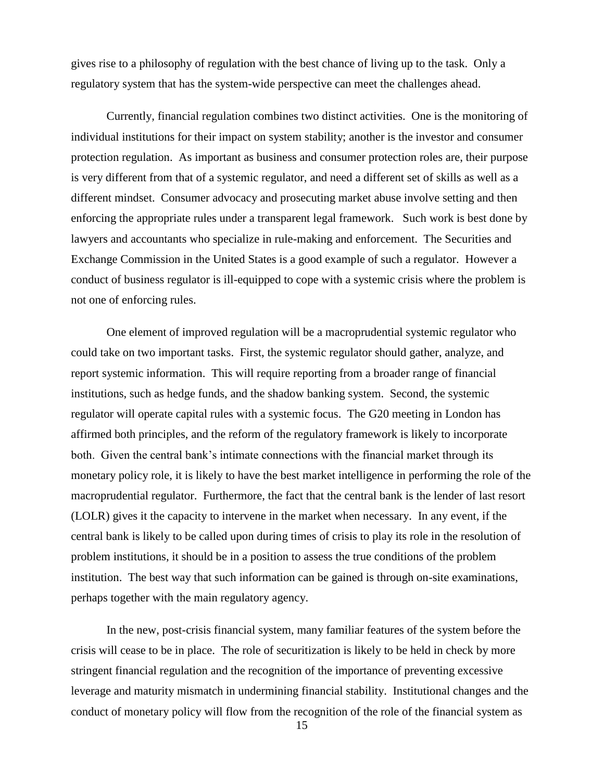gives rise to a philosophy of regulation with the best chance of living up to the task. Only a regulatory system that has the system-wide perspective can meet the challenges ahead.

Currently, financial regulation combines two distinct activities. One is the monitoring of individual institutions for their impact on system stability; another is the investor and consumer protection regulation. As important as business and consumer protection roles are, their purpose is very different from that of a systemic regulator, and need a different set of skills as well as a different mindset. Consumer advocacy and prosecuting market abuse involve setting and then enforcing the appropriate rules under a transparent legal framework. Such work is best done by lawyers and accountants who specialize in rule-making and enforcement. The Securities and Exchange Commission in the United States is a good example of such a regulator. However a conduct of business regulator is ill-equipped to cope with a systemic crisis where the problem is not one of enforcing rules.

One element of improved regulation will be a macroprudential systemic regulator who could take on two important tasks. First, the systemic regulator should gather, analyze, and report systemic information. This will require reporting from a broader range of financial institutions, such as hedge funds, and the shadow banking system. Second, the systemic regulator will operate capital rules with a systemic focus. The G20 meeting in London has affirmed both principles, and the reform of the regulatory framework is likely to incorporate both. Given the central bank's intimate connections with the financial market through its monetary policy role, it is likely to have the best market intelligence in performing the role of the macroprudential regulator. Furthermore, the fact that the central bank is the lender of last resort (LOLR) gives it the capacity to intervene in the market when necessary. In any event, if the central bank is likely to be called upon during times of crisis to play its role in the resolution of problem institutions, it should be in a position to assess the true conditions of the problem institution. The best way that such information can be gained is through on-site examinations, perhaps together with the main regulatory agency.

In the new, post-crisis financial system, many familiar features of the system before the crisis will cease to be in place. The role of securitization is likely to be held in check by more stringent financial regulation and the recognition of the importance of preventing excessive leverage and maturity mismatch in undermining financial stability. Institutional changes and the conduct of monetary policy will flow from the recognition of the role of the financial system as

15